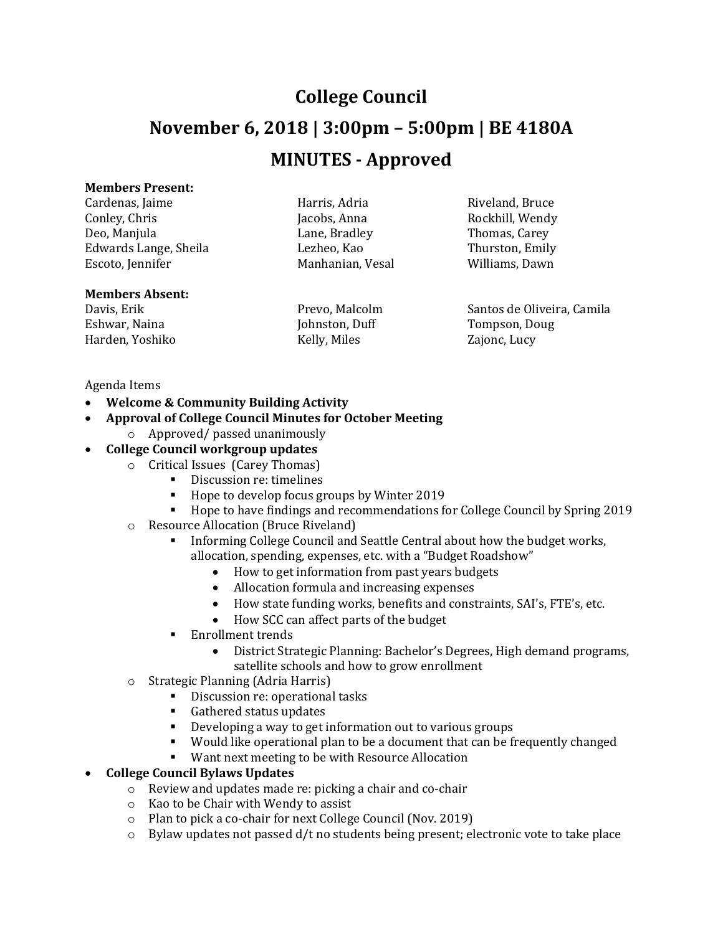## **College Council**

# **November 6, 2018 | 3:00pm – 5:00pm | BE 4180A**

## **MINUTES - Approved**

#### **Members Present:**

Cardenas, Jaime **Harris, Adria** Harris, Adria Riveland, Bruce Conley, Chris Conley, Chris Conley, Chris Jacobs, Anna Rockhill, Wendy Deo, Manjula Lane, Bradley Thomas, Carey Edwards Lange, Sheila Lezheo, Kao Thurston, Emily Escoto, Jennifer Manhanian, Vesal Williams, Dawn

#### **Members Absent:**

Eshwar, Naina **Markon, Ingles Eshwar, Naina** Johnston, Duff Tompson, Doug Harden, Yoshiko Kelly, Miles Zajonc, Lucy

Davis, Erik Prevo, Malcolm Santos de Oliveira, Camila

#### Agenda Items

- **Welcome & Community Building Activity**
- **Approval of College Council Minutes for October Meeting**
	- o Approved/ passed unanimously

#### • **College Council workgroup updates**

- o Critical Issues (Carey Thomas)
	- Discussion re: timelines
	- Hope to develop focus groups by Winter 2019
	- Hope to have findings and recommendations for College Council by Spring 2019
- o Resource Allocation (Bruce Riveland)
	- **•** Informing College Council and Seattle Central about how the budget works, allocation, spending, expenses, etc. with a "Budget Roadshow"
		- How to get information from past years budgets
		- Allocation formula and increasing expenses
		- How state funding works, benefits and constraints, SAI's, FTE's, etc.
		- How SCC can affect parts of the budget
	- Enrollment trends
		- District Strategic Planning: Bachelor's Degrees, High demand programs, satellite schools and how to grow enrollment
- o Strategic Planning (Adria Harris)
	- Discussion re: operational tasks
		- Gathered status updates
		- Developing a way to get information out to various groups
		- Would like operational plan to be a document that can be frequently changed
	- Want next meeting to be with Resource Allocation

#### • **College Council Bylaws Updates**

- o Review and updates made re: picking a chair and co-chair
- o Kao to be Chair with Wendy to assist
- o Plan to pick a co-chair for next College Council (Nov. 2019)
- $\circ$  Bylaw updates not passed d/t no students being present; electronic vote to take place